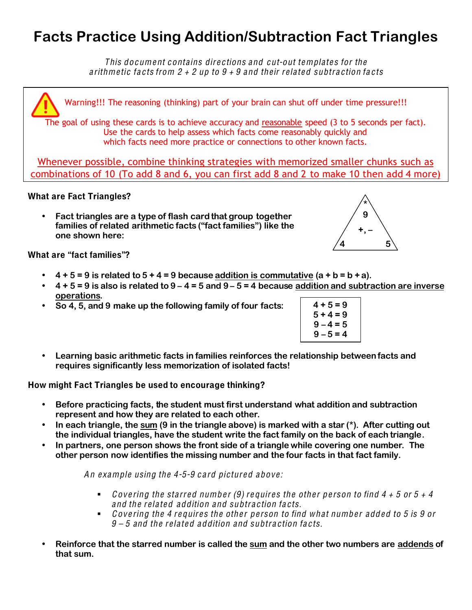## **Facts Practice Using Addition/Subtraction Fact Triangles**

Thi<sup>s</sup> document contains dire ctions and cut-out templates for the arithmetic facts from  $2 + 2$  up to  $9 + 9$  and their related subtraction facts

Warning!!! The reasoning (thinking) part of your brain can shut off under time pressure!!! The goal of using these cards is to achieve accuracy and reasonable speed (3 to 5 seconds per fact). Use the cards to help assess which facts come reasonably quickly and which facts need more practice or connections to other known facts. Whenever possible, combine thinking strategies with memorized smaller chunks such as

combinations of 10 (To add 8 and 6, you can first add 8 and 2 to make 10 then add 4 more)

## What are Fact Triangles?

• **Fact triangles are a type of flash card that group together families of related arithmetic facts ("fact families") like the one shown here:**

What are "fact families"?

- $\cdot$  4 + 5 = 9 is related to 5 + 4 = 9 because addition is commutative  $(a + b = b + a)$ .
- **4 + 5 = 9 is also is related to 9 4 = 5 and 9 5 = 4 because addition and subtraction are inverse operations.**
- **So 4, 5, and 9 make up the following family of four facts:**

| $4 + 5 = 9$ |  |
|-------------|--|
| $5 + 4 = 9$ |  |
| $9 - 4 = 5$ |  |
| $9 - 5 = 4$ |  |

• **Learning basic arithmetic facts in families reinforces the relationship between facts and requires significantly less memorization of isolated facts!**

How might Fact Triangles be used to encourage thinking?

- **Before practicing facts, the student must first understand what addition and subtraction represent and how they are related to each other.**
- **In each triangle, the sum (9 in the triangle above) is marked with a star (\*). After cutting out the individual triangles, have the student write the fact family on the back of each triangle.**
- **In partners, one person shows the front side of a triangle while covering one number. The other person now identifies the missing number and the four facts in that fact family.**

An example using the  $4-5-9$  card pictured above:

- Covering the starred number (9) requires the other person to find  $4 + 5$  or  $5 + 4$ and the related addition and subtraction facts.
- $\bullet$  Covering the 4 requires the other person to find what number added to 5 is 9 or  $9 - 5$  and the related addition and subtraction facts.
- **Reinforce that the starred number is called the sum and the other two numbers are addends of that sum.**

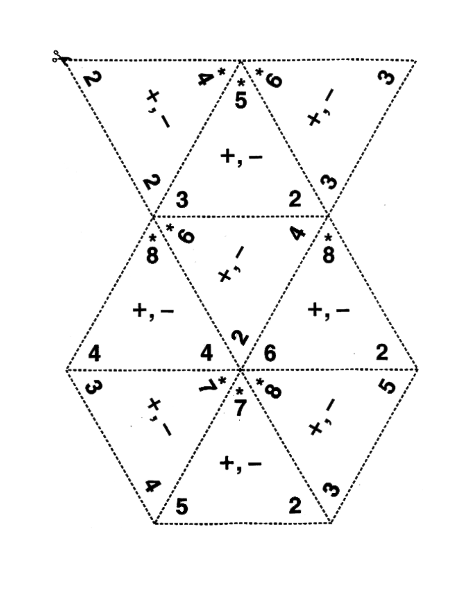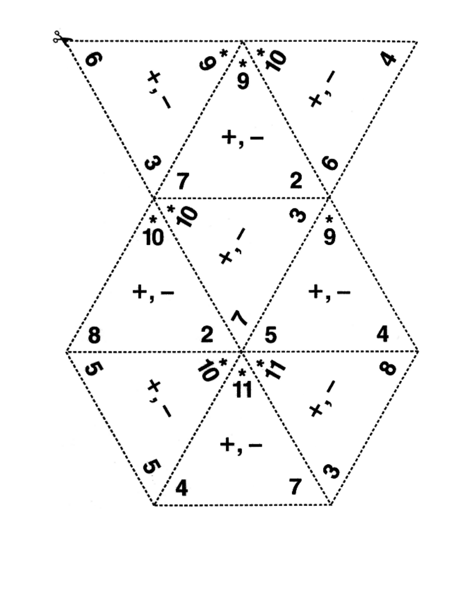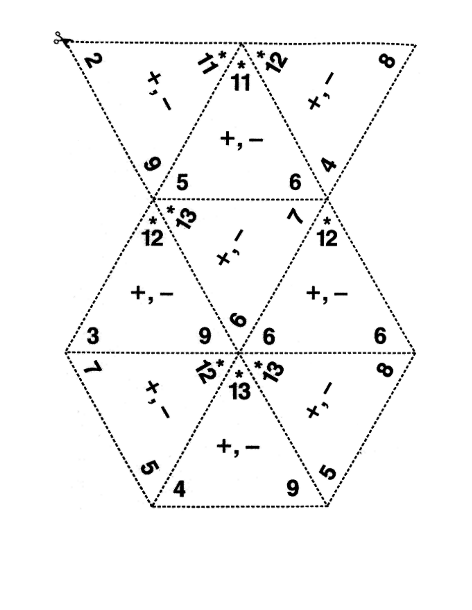